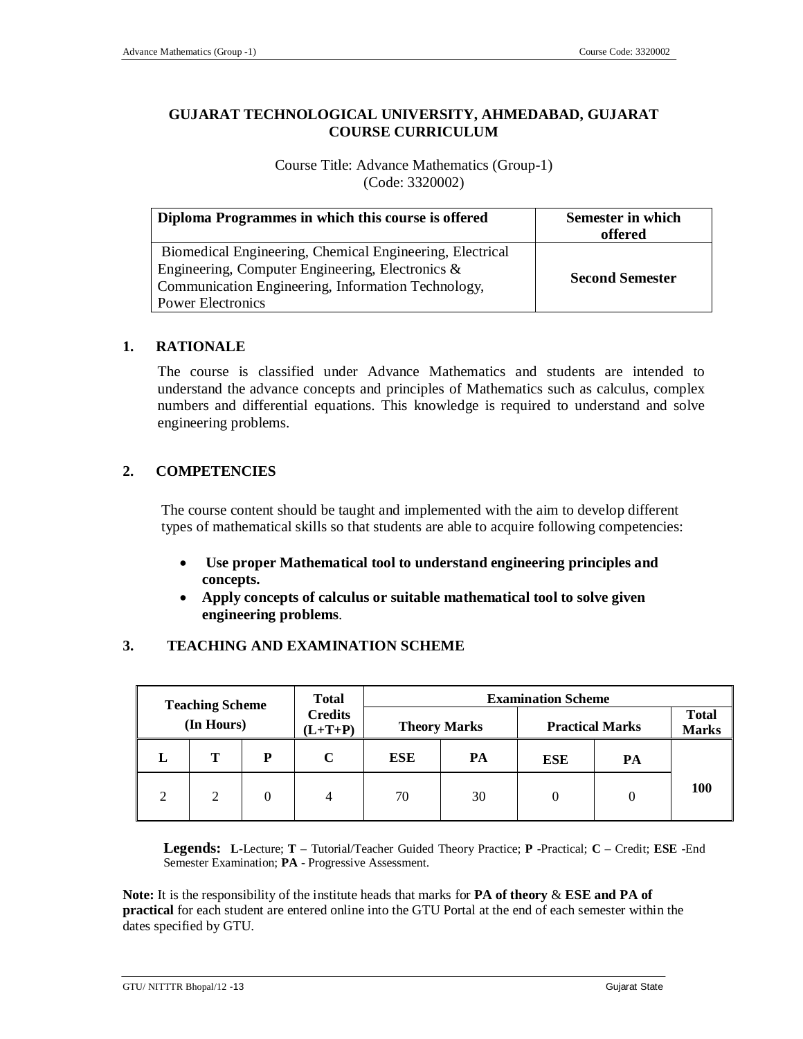### **GUJARAT TECHNOLOGICAL UNIVERSITY, AHMEDABAD, GUJARAT COURSE CURRICULUM**

Course Title: Advance Mathematics (Group-1) (Code: 3320002)

| Diploma Programmes in which this course is offered                                                                                                                                             | Semester in which<br>offered |
|------------------------------------------------------------------------------------------------------------------------------------------------------------------------------------------------|------------------------------|
| Biomedical Engineering, Chemical Engineering, Electrical<br>Engineering, Computer Engineering, Electronics &<br>Communication Engineering, Information Technology,<br><b>Power Electronics</b> | <b>Second Semester</b>       |

### **1. RATIONALE**

The course is classified under Advance Mathematics and students are intended to understand the advance concepts and principles of Mathematics such as calculus, complex numbers and differential equations. This knowledge is required to understand and solve engineering problems.

### **2. COMPETENCIES**

The course content should be taught and implemented with the aim to develop different types of mathematical skills so that students are able to acquire following competencies:

- **Use proper Mathematical tool to understand engineering principles and concepts.**
- **Apply concepts of calculus or suitable mathematical tool to solve given engineering problems**.

### **3. TEACHING AND EXAMINATION SCHEME**

| <b>Total</b><br><b>Marks</b> | <b>Practical Marks</b> | <b>Examination Scheme</b> | <b>Theory Marks</b> |     | <b>Total</b><br><b>Credits</b><br>$(L+T+P)$ | <b>Teaching Scheme</b><br>(In Hours) |   |   |
|------------------------------|------------------------|---------------------------|---------------------|-----|---------------------------------------------|--------------------------------------|---|---|
|                              | PA                     | <b>ESE</b>                | PA                  | ESE | C                                           | D                                    | T | ш |
| <b>100</b>                   |                        | $\left($                  | 30                  | 70  |                                             | 0                                    | 2 | ◠ |

**Legends: L**-Lecture; **T** – Tutorial/Teacher Guided Theory Practice; **P** -Practical; **C** – Credit; **ESE** -End Semester Examination; **PA** - Progressive Assessment.

**Note:** It is the responsibility of the institute heads that marks for **PA of theory** & **ESE and PA of practical** for each student are entered online into the GTU Portal at the end of each semester within the dates specified by GTU.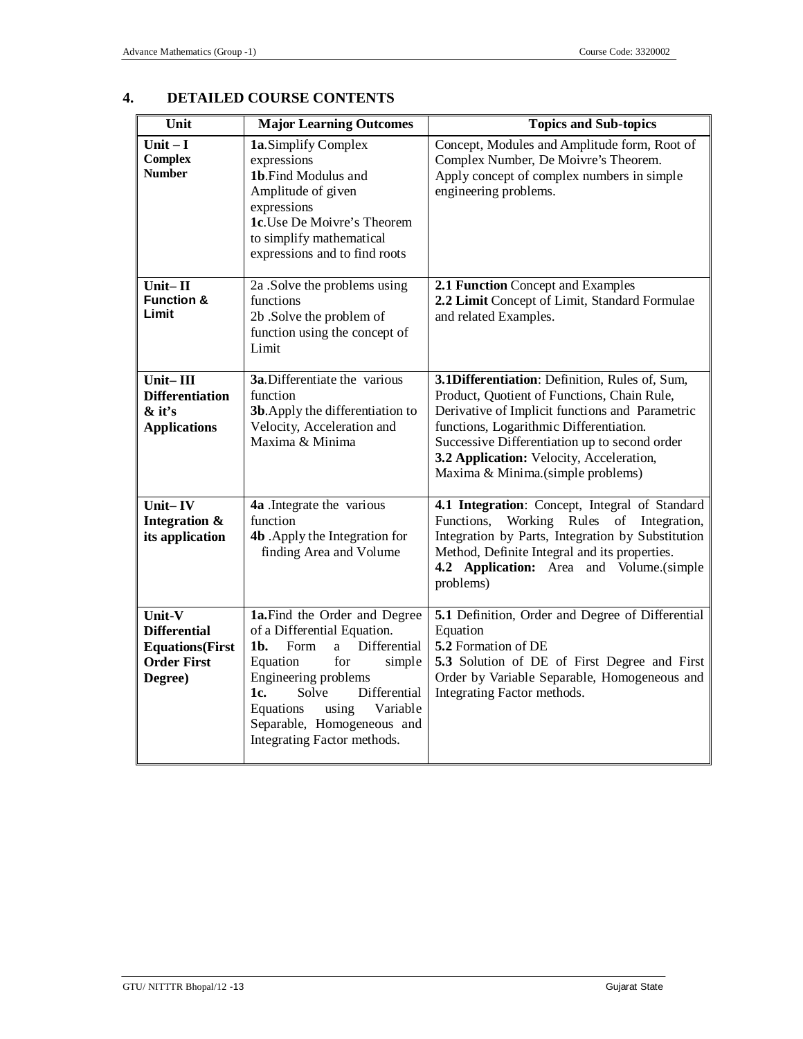| Unit                                                                                      | <b>Major Learning Outcomes</b>                                                                                                                                                                                                                                                       | <b>Topics and Sub-topics</b>                                                                                                                                                                                                                                                                                                  |
|-------------------------------------------------------------------------------------------|--------------------------------------------------------------------------------------------------------------------------------------------------------------------------------------------------------------------------------------------------------------------------------------|-------------------------------------------------------------------------------------------------------------------------------------------------------------------------------------------------------------------------------------------------------------------------------------------------------------------------------|
| Unit $-I$<br><b>Complex</b><br><b>Number</b>                                              | 1a.Simplify Complex<br>expressions<br>1b.Find Modulus and<br>Amplitude of given<br>expressions<br>1c.Use De Moivre's Theorem<br>to simplify mathematical<br>expressions and to find roots                                                                                            | Concept, Modules and Amplitude form, Root of<br>Complex Number, De Moivre's Theorem.<br>Apply concept of complex numbers in simple<br>engineering problems.                                                                                                                                                                   |
| Unit $-$ II<br><b>Function &amp;</b><br>Limit                                             | 2a .Solve the problems using<br>functions<br>2b .Solve the problem of<br>function using the concept of<br>Limit                                                                                                                                                                      | 2.1 Function Concept and Examples<br>2.2 Limit Concept of Limit, Standard Formulae<br>and related Examples.                                                                                                                                                                                                                   |
| Unit-III<br><b>Differentiation</b><br>& it's<br><b>Applications</b>                       | 3a.Differentiate the various<br>function<br>3b. Apply the differentiation to<br>Velocity, Acceleration and<br>Maxima & Minima                                                                                                                                                        | 3.1Differentiation: Definition, Rules of, Sum,<br>Product, Quotient of Functions, Chain Rule,<br>Derivative of Implicit functions and Parametric<br>functions, Logarithmic Differentiation.<br>Successive Differentiation up to second order<br>3.2 Application: Velocity, Acceleration,<br>Maxima & Minima.(simple problems) |
| Unit-IV<br>Integration &<br>its application                                               | 4a .Integrate the various<br>function<br>4b . Apply the Integration for<br>finding Area and Volume                                                                                                                                                                                   | 4.1 Integration: Concept, Integral of Standard<br>Functions,<br>Working Rules of Integration,<br>Integration by Parts, Integration by Substitution<br>Method, Definite Integral and its properties.<br>4.2 Application: Area and Volume.(simple<br>problems)                                                                  |
| Unit-V<br><b>Differential</b><br><b>Equations</b> (First<br><b>Order First</b><br>Degree) | 1a.Find the Order and Degree<br>of a Differential Equation.<br>Form<br>Differential<br>1b.<br>a.<br>for<br>Equation<br>simple<br>Engineering problems<br>1c.<br>Solve<br>Differential<br>Variable<br>Equations<br>using<br>Separable, Homogeneous and<br>Integrating Factor methods. | 5.1 Definition, Order and Degree of Differential<br>Equation<br>5.2 Formation of DE<br>5.3 Solution of DE of First Degree and First<br>Order by Variable Separable, Homogeneous and<br>Integrating Factor methods.                                                                                                            |

# **4. DETAILED COURSE CONTENTS**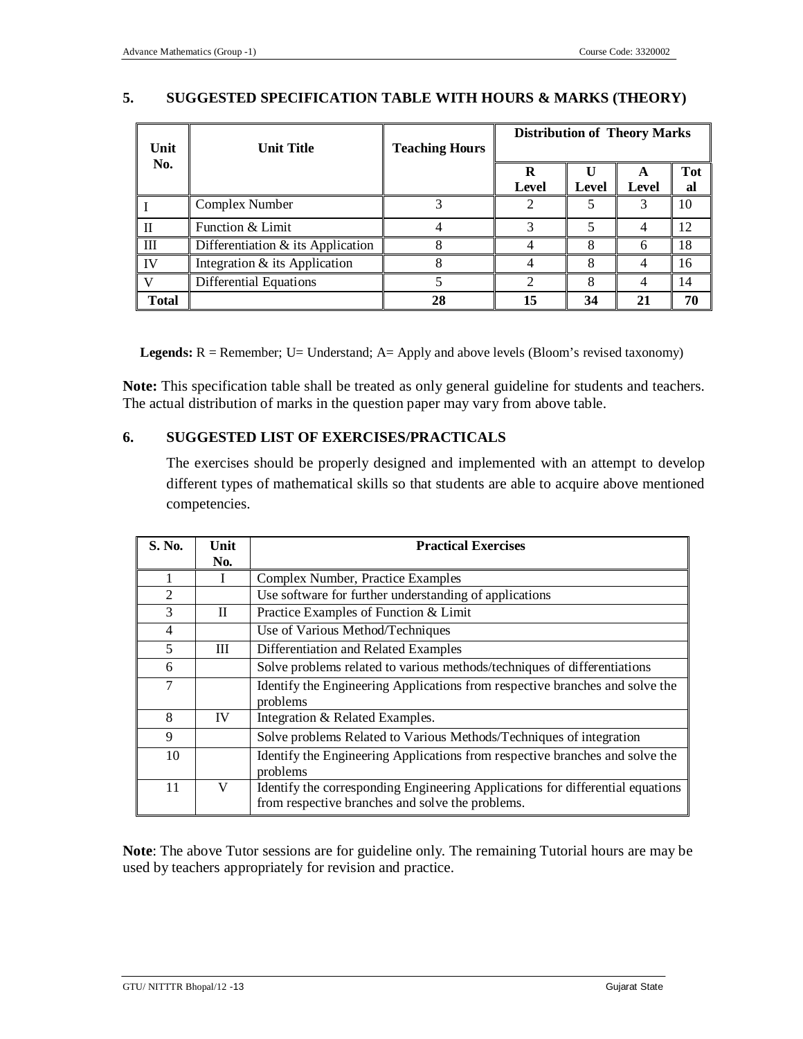### **5. SUGGESTED SPECIFICATION TABLE WITH HOURS & MARKS (THEORY)**

| Unit         | <b>Unit Title</b>                    | <b>Teaching Hours</b> | <b>Distribution of Theory Marks</b> |       |       |           |
|--------------|--------------------------------------|-----------------------|-------------------------------------|-------|-------|-----------|
| No.          |                                      |                       | R<br>Level                          | Level | Level | Tot<br>al |
|              | Complex Number                       |                       |                                     |       |       | 10        |
|              | Function & Limit                     |                       |                                     |       | 4     | 12        |
| Ш            | Differentiation $\&$ its Application |                       |                                     | 8     | 6     | 18        |
| IV           | Integration & its Application        |                       |                                     | 8     | 4     | 16        |
|              | Differential Equations               |                       |                                     |       | 4     | 14        |
| <b>Total</b> |                                      | 28                    | 15                                  | 34    | 21    | 70        |

**Legends:** R = Remember; U= Understand; A= Apply and above levels (Bloom's revised taxonomy)

**Note:** This specification table shall be treated as only general guideline for students and teachers. The actual distribution of marks in the question paper may vary from above table.

### **6. SUGGESTED LIST OF EXERCISES/PRACTICALS**

The exercises should be properly designed and implemented with an attempt to develop different types of mathematical skills so that students are able to acquire above mentioned competencies.

| S. No.         | Unit<br>No. | <b>Practical Exercises</b>                                                                                                         |  |
|----------------|-------------|------------------------------------------------------------------------------------------------------------------------------------|--|
|                |             | Complex Number, Practice Examples                                                                                                  |  |
| $\overline{2}$ |             | Use software for further understanding of applications                                                                             |  |
| 3              | $\Pi$       | Practice Examples of Function & Limit                                                                                              |  |
| 4              |             | Use of Various Method/Techniques                                                                                                   |  |
| 5              | Ш           | Differentiation and Related Examples                                                                                               |  |
| 6              |             | Solve problems related to various methods/techniques of differentiations                                                           |  |
| 7              |             | Identify the Engineering Applications from respective branches and solve the<br>problems                                           |  |
| 8              | <b>IV</b>   | Integration & Related Examples.                                                                                                    |  |
| 9              |             | Solve problems Related to Various Methods/Techniques of integration                                                                |  |
| 10             |             | Identify the Engineering Applications from respective branches and solve the<br>problems                                           |  |
| 11             | V           | Identify the corresponding Engineering Applications for differential equations<br>from respective branches and solve the problems. |  |

**Note**: The above Tutor sessions are for guideline only. The remaining Tutorial hours are may be used by teachers appropriately for revision and practice.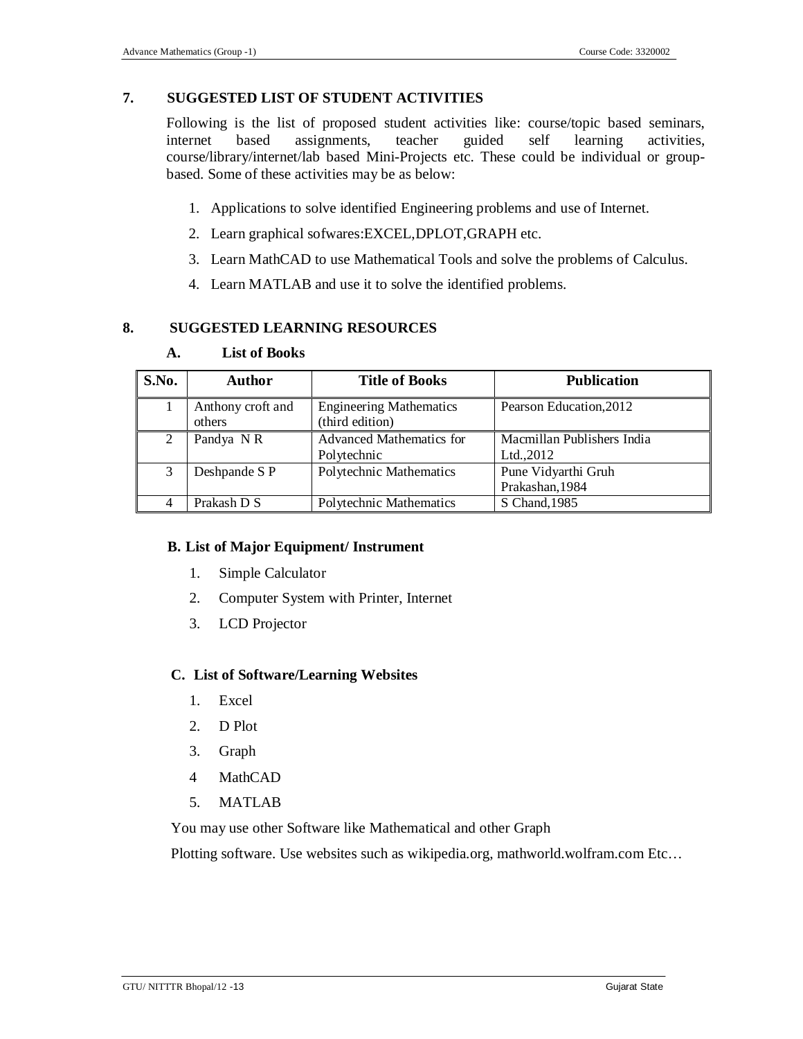### **7. SUGGESTED LIST OF STUDENT ACTIVITIES**

Following is the list of proposed student activities like: course/topic based seminars, internet based assignments, teacher guided self learning activities, course/library/internet/lab based Mini-Projects etc. These could be individual or groupbased. Some of these activities may be as below:

- 1. Applications to solve identified Engineering problems and use of Internet.
- 2. Learn graphical sofwares:EXCEL,DPLOT,GRAPH etc.
- 3. Learn MathCAD to use Mathematical Tools and solve the problems of Calculus.
- 4. Learn MATLAB and use it to solve the identified problems.

#### **8. SUGGESTED LEARNING RESOURCES**

| S.No. | <b>Author</b>               | <b>Title of Books</b>                             | <b>Publication</b>                       |
|-------|-----------------------------|---------------------------------------------------|------------------------------------------|
|       | Anthony croft and<br>others | <b>Engineering Mathematics</b><br>(third edition) | Pearson Education, 2012                  |
| 2     | Pandya NR                   | <b>Advanced Mathematics for</b><br>Polytechnic    | Macmillan Publishers India<br>Ltd., 2012 |
| 3     | Deshpande S P               | Polytechnic Mathematics                           | Pune Vidyarthi Gruh<br>Prakashan, 1984   |
|       | Prakash D S                 | Polytechnic Mathematics                           | S Chand, 1985                            |

#### **A. List of Books**

#### **B. List of Major Equipment/ Instrument**

- 1. Simple Calculator
- 2. Computer System with Printer, Internet
- 3. LCD Projector

#### **C. List of Software/Learning Websites**

- 1. Excel
- 2. D Plot
- 3. Graph
- 4 MathCAD
- 5. MATLAB

You may use other Software like Mathematical and other Graph

Plotting software. Use websites such as wikipedia.org, mathworld.wolfram.com Etc…